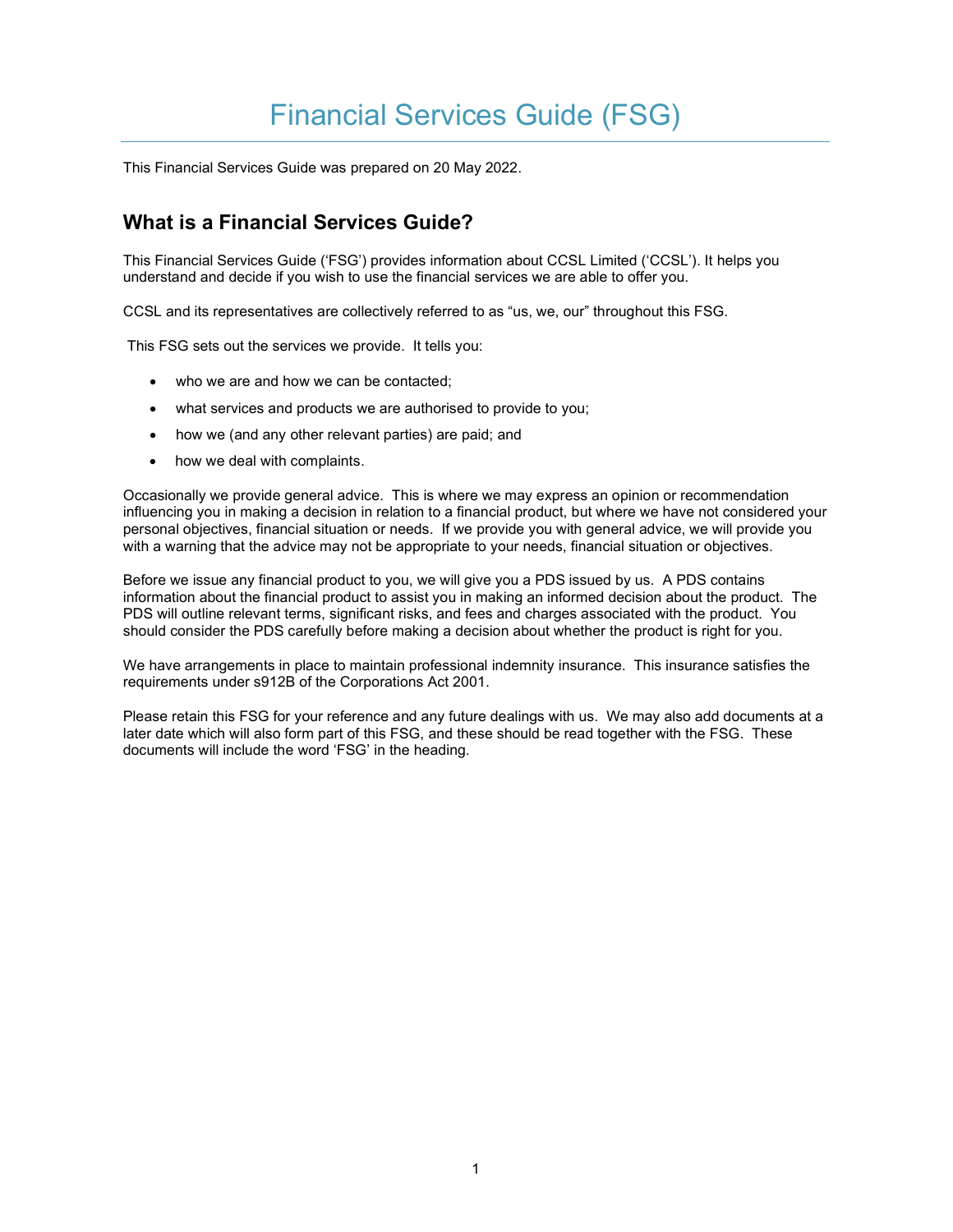# Financial Services Guide (FSG)

This Financial Services Guide was prepared on 20 May 2022.

# What is a Financial Services Guide?

This Financial Services Guide ('FSG') provides information about CCSL Limited ('CCSL'). It helps you understand and decide if you wish to use the financial services we are able to offer you.

CCSL and its representatives are collectively referred to as "us, we, our" throughout this FSG.

This FSG sets out the services we provide. It tells you:

- who we are and how we can be contacted;
- what services and products we are authorised to provide to you;
- how we (and any other relevant parties) are paid; and
- how we deal with complaints.

Occasionally we provide general advice. This is where we may express an opinion or recommendation influencing you in making a decision in relation to a financial product, but where we have not considered your personal objectives, financial situation or needs. If we provide you with general advice, we will provide you with a warning that the advice may not be appropriate to your needs, financial situation or objectives.

Before we issue any financial product to you, we will give you a PDS issued by us. A PDS contains information about the financial product to assist you in making an informed decision about the product. The PDS will outline relevant terms, significant risks, and fees and charges associated with the product. You should consider the PDS carefully before making a decision about whether the product is right for you.

We have arrangements in place to maintain professional indemnity insurance. This insurance satisfies the requirements under s912B of the Corporations Act 2001.

Please retain this FSG for your reference and any future dealings with us. We may also add documents at a later date which will also form part of this FSG, and these should be read together with the FSG. These documents will include the word 'FSG' in the heading.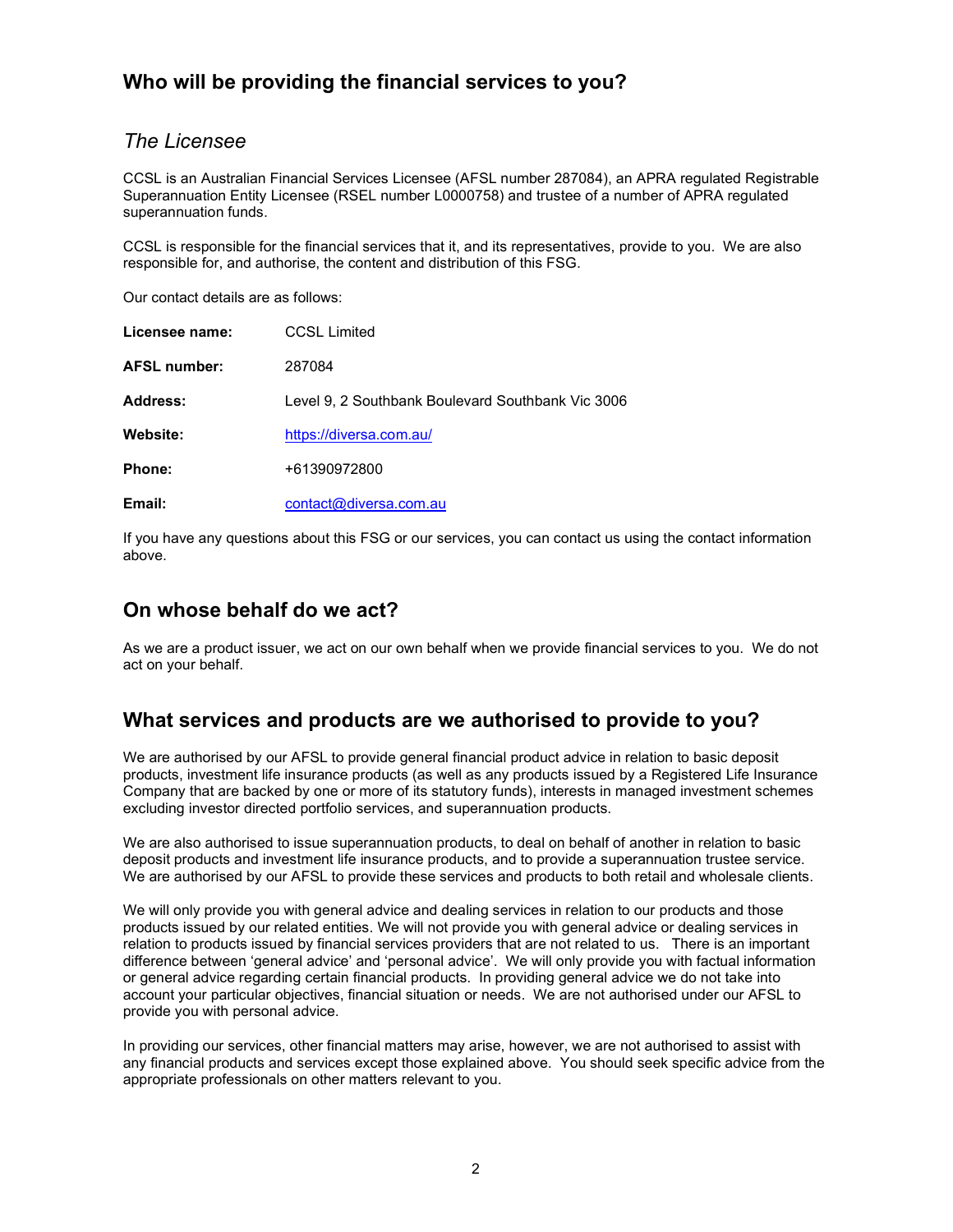# Who will be providing the financial services to you?

#### The Licensee

CCSL is an Australian Financial Services Licensee (AFSL number 287084), an APRA regulated Registrable Superannuation Entity Licensee (RSEL number L0000758) and trustee of a number of APRA regulated superannuation funds.

CCSL is responsible for the financial services that it, and its representatives, provide to you. We are also responsible for, and authorise, the content and distribution of this FSG.

Our contact details are as follows:

| Licensee name:      | <b>CCSL Limited</b>                               |
|---------------------|---------------------------------------------------|
| <b>AFSL number:</b> | 287084                                            |
| <b>Address:</b>     | Level 9, 2 Southbank Boulevard Southbank Vic 3006 |
| Website:            | https://diversa.com.au/                           |
| Phone:              | +61390972800                                      |
| Email:              | contact@diversa.com.au                            |

If you have any questions about this FSG or our services, you can contact us using the contact information above.

#### On whose behalf do we act?

As we are a product issuer, we act on our own behalf when we provide financial services to you. We do not act on your behalf.

#### What services and products are we authorised to provide to you?

We are authorised by our AFSL to provide general financial product advice in relation to basic deposit products, investment life insurance products (as well as any products issued by a Registered Life Insurance Company that are backed by one or more of its statutory funds), interests in managed investment schemes excluding investor directed portfolio services, and superannuation products.

We are also authorised to issue superannuation products, to deal on behalf of another in relation to basic deposit products and investment life insurance products, and to provide a superannuation trustee service. We are authorised by our AFSL to provide these services and products to both retail and wholesale clients.

We will only provide you with general advice and dealing services in relation to our products and those products issued by our related entities. We will not provide you with general advice or dealing services in relation to products issued by financial services providers that are not related to us. There is an important difference between 'general advice' and 'personal advice'. We will only provide you with factual information or general advice regarding certain financial products. In providing general advice we do not take into account your particular objectives, financial situation or needs. We are not authorised under our AFSL to provide you with personal advice.

In providing our services, other financial matters may arise, however, we are not authorised to assist with any financial products and services except those explained above. You should seek specific advice from the appropriate professionals on other matters relevant to you.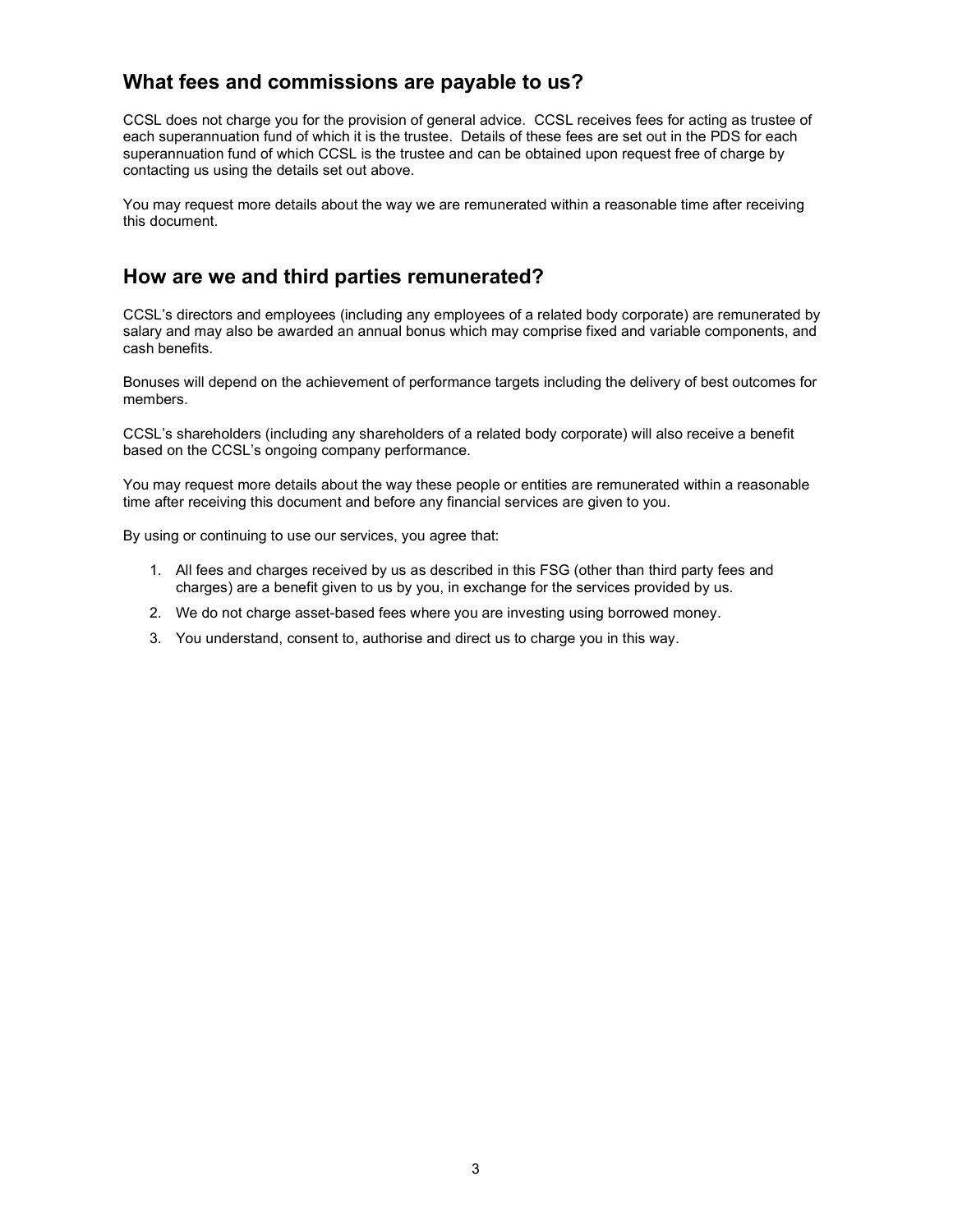# What fees and commissions are payable to us?

CCSL does not charge you for the provision of general advice. CCSL receives fees for acting as trustee of each superannuation fund of which it is the trustee. Details of these fees are set out in the PDS for each superannuation fund of which CCSL is the trustee and can be obtained upon request free of charge by contacting us using the details set out above.

You may request more details about the way we are remunerated within a reasonable time after receiving this document.

# How are we and third parties remunerated?

CCSL's directors and employees (including any employees of a related body corporate) are remunerated by salary and may also be awarded an annual bonus which may comprise fixed and variable components, and cash benefits.

Bonuses will depend on the achievement of performance targets including the delivery of best outcomes for members.

CCSL's shareholders (including any shareholders of a related body corporate) will also receive a benefit based on the CCSL's ongoing company performance.

You may request more details about the way these people or entities are remunerated within a reasonable time after receiving this document and before any financial services are given to you.

By using or continuing to use our services, you agree that:

- 1. All fees and charges received by us as described in this FSG (other than third party fees and charges) are a benefit given to us by you, in exchange for the services provided by us.
- 2. We do not charge asset-based fees where you are investing using borrowed money.
- 3. You understand, consent to, authorise and direct us to charge you in this way.